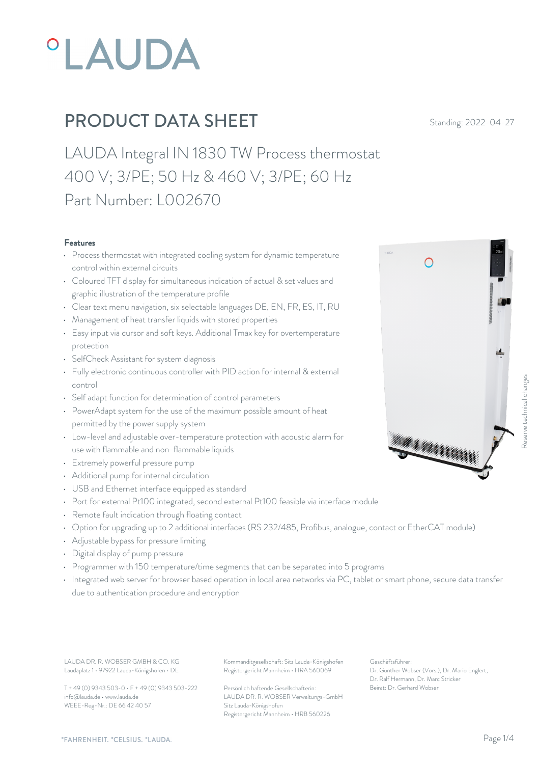

LAUDA Integral IN 1830 TW Process thermostat 400 V; 3/PE; 50 Hz & 460 V; 3/PE; 60 Hz Part Number: L002670

#### Features

- Process thermostat with integrated cooling system for dynamic temperature  $\bigcap$ control within external circuits
- Coloured TFT display for simultaneous indication of actual & set values and graphic illustration of the temperature profile
- Clear text menu navigation, six selectable languages DE, EN, FR, ES, IT, RU
- Management of heat transfer liquids with stored properties
- Easy input via cursor and soft keys. Additional Tmax key for overtemperature protection
- SelfCheck Assistant for system diagnosis
- Fully electronic continuous controller with PID action for internal & external control
- Self adapt function for determination of control parameters
- PowerAdapt system for the use of the maximum possible amount of heat permitted by the power supply system
- Low-level and adjustable over-temperature protection with acoustic alarm for<br>
and non-flammable liquids<br>
and non-flammable liquids<br>
and the liquids<br>
and the liquids<br>
and the liquids<br>
and the liquids<br>
and the liquids<br>
and use with flammable and non-flammable liquids
- Extremely powerful pressure pump
- Additional pump for internal circulation
- USB and Ethernet interface equipped as standard
- Port for external Pt100 integrated, second external Pt100 feasible via interface module
- Remote fault indication through floating contact
- Option for upgrading up to 2 additional interfaces (RS 232/485, Profibus, analogue, contact or EtherCAT module)
- Adjustable bypass for pressure limiting
- Digital display of pump pressure
- Programmer with 150 temperature/time segments that can be separated into 5 programs
- Integrated web server for browser based operation in local area networks via PC, tablet or smart phone, secure data transfer due to authentication procedure and encryption

LAUDA DR. R. WOBSER GMBH & CO. KG Kommanditgesellschaft: Sitz Lauda-Königshofen Geschäftsführer: Laudaplatz 1 • 97922 Lauda-Königshofen • DE

T + 49 (0) 9343 503-0 • F + 49 (0) 9343 503-222 info@lauda.de • www.lauda.de WEEE-Reg-Nr.: DE 66 42 40 57

Registergericht Mannheim • HRA 560069

Persönlich haftende Gesellschafterin: Beirat: Dr. Gerhard Wobs LAUDA DR. R. WOBSER Verwaltungs-GmbH Sitz Lauda-Königshofen Registergericht Mannheim • HRB 560226

Geschäftsführer: Dr. Gunther Wobser (Vors.), Dr. Mario Englert, Dr. Ralf Hermann, Dr. Marc Stricker

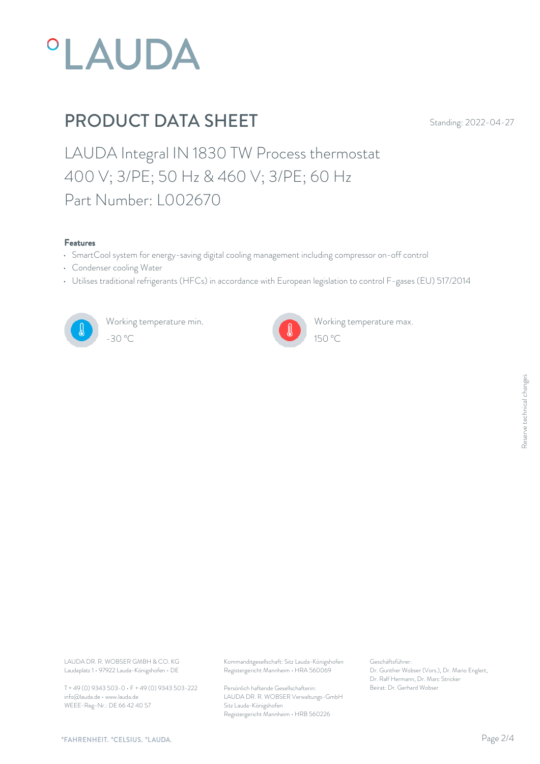

LAUDA Integral IN 1830 TW Process thermostat 400 V; 3/PE; 50 Hz & 460 V; 3/PE; 60 Hz Part Number: L002670

#### Features

- SmartCool system for energy-saving digital cooling management including compressor on-off control
- Condenser cooling Water
- Utilises traditional refrigerants (HFCs) in accordance with European legislation to control F-gases (EU) 517/2014



Working temperature min. -30 °C 150 °C



Working temperature max.

Laudaplatz 1 • 97922 Lauda-Königshofen • DE

T + 49 (0) 9343 503-0 • F + 49 (0) 9343 503-222 info@lauda.de • www.lauda.de WEEE-Reg-Nr.: DE 66 42 40 57

LAUDA DR. R. WOBSER GMBH & CO. KG Kommanditgesellschaft: Sitz Lauda-Königshofen Geschäftsführer: Registergericht Mannheim • HRA 560069

> Persönlich haftende Gesellschafterin: Beirat: Dr. Gerhard Wobse LAUDA DR. R. WOBSER Verwaltungs-GmbH Sitz Lauda-Königshofen Registergericht Mannheim • HRB 560226

Geschäftsführer: Dr. Gunther Wobser (Vors.), Dr. Mario Englert, Dr. Ralf Hermann, Dr. Marc Stricker Beschäftsführer:<br>Dr. Gunther Wobser (Vors.), Dr. Mario Englert,<br>Dr. Ralf Hermann, Dr. Marc Stricker<br>Beirat: Dr. Gerhard Wobser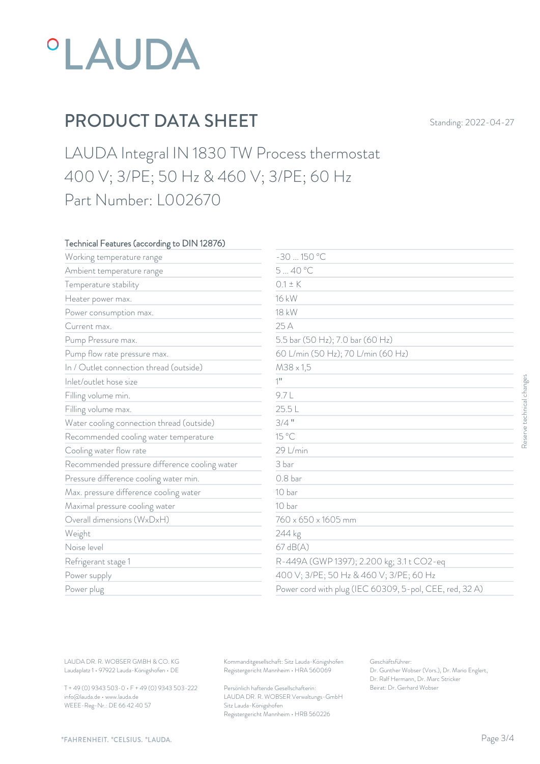

LAUDA Integral IN 1830 TW Process thermostat 400 V; 3/PE; 50 Hz & 460 V; 3/PE; 60 Hz Part Number: L002670

### Technical Features (according to DIN 12876)

| Working temperature range                     | $-30150 °C$                             |                                                         |
|-----------------------------------------------|-----------------------------------------|---------------------------------------------------------|
| Ambient temperature range                     | 540 °C                                  |                                                         |
| Temperature stability                         | $0.1 \pm K$                             |                                                         |
| Heater power max.                             | 16 kW                                   |                                                         |
| Power consumption max.                        | 18 kW                                   |                                                         |
| Current max.                                  | 25 A                                    |                                                         |
| Pump Pressure max.                            | 5.5 bar (50 Hz); 7.0 bar (60 Hz)        |                                                         |
| Pump flow rate pressure max.                  | 60 L/min (50 Hz); 70 L/min (60 Hz)      |                                                         |
| In / Outlet connection thread (outside)       | M38 x 1,5                               |                                                         |
| Inlet/outlet hose size                        | $1$ <sup>11</sup>                       |                                                         |
| Filling volume min.                           | 9.7L                                    |                                                         |
| Filling volume max.                           | 25.5L                                   |                                                         |
| Water cooling connection thread (outside)     | $3/4$ "                                 |                                                         |
| Recommended cooling water temperature         | 15 °C                                   |                                                         |
| Cooling water flow rate                       | 29 L/min                                |                                                         |
| Recommended pressure difference cooling water | 3 bar                                   |                                                         |
| Pressure difference cooling water min.        | 0.8 <sub>bar</sub>                      |                                                         |
| Max. pressure difference cooling water        | 10 bar                                  |                                                         |
| Maximal pressure cooling water                | 10 bar                                  |                                                         |
| Overall dimensions (WxDxH)                    | 760 x 650 x 1605 mm                     |                                                         |
| Weight                                        | 244 kg                                  |                                                         |
| Noise level                                   | 67 dB(A)                                |                                                         |
| Refrigerant stage 1                           |                                         | R-449A (GWP 1397); 2.200 kg; 3.1 t CO2-eq               |
| Power supply                                  | 400 V; 3/PE; 50 Hz & 460 V; 3/PE; 60 Hz |                                                         |
| Power plug                                    |                                         | Power cord with plug (IEC 60309, 5-pol, CEE, red, 32 A) |

T + 49 (0) 9343 503-0 • F + 49 (0) 9343 503-222 info@lauda.de • www.lauda.de WEEE-Reg-Nr.: DE 66 42 40 57

> Persönlich haftende Gesellschafterin: Beirat: Dr. Gerhard Wobse LAUDA DR. R. WOBSER Verwaltungs-GmbH Sitz Lauda-Königshofen Registergericht Mannheim • HRB 560226